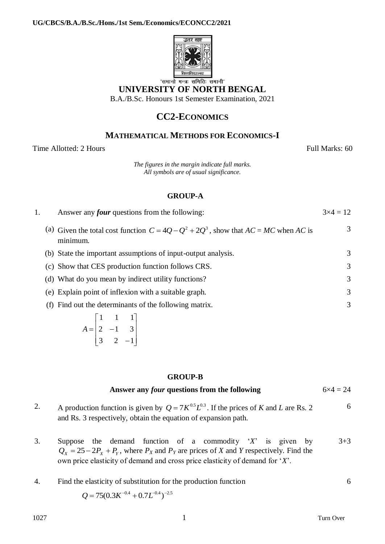

# **UNIVERSITY OF NORTH BENGAL**

B.A./B.Sc. Honours 1st Semester Examination, 2021

## **CC2-ECONOMICS**

### **MATHEMATICAL METHODS FOR ECONOMICS-I**

Time Allotted: 2 Hours Full Marks: 60

*The figures in the margin indicate full marks. All symbols are of usual significance.*

#### **GROUP-A**

| Answer any <i>four</i> questions from the following: | $3\times4=12$                                                                                                                                                                                                                                                                                                                                                                                                                               |
|------------------------------------------------------|---------------------------------------------------------------------------------------------------------------------------------------------------------------------------------------------------------------------------------------------------------------------------------------------------------------------------------------------------------------------------------------------------------------------------------------------|
| minimum.                                             | 3                                                                                                                                                                                                                                                                                                                                                                                                                                           |
|                                                      | 3                                                                                                                                                                                                                                                                                                                                                                                                                                           |
|                                                      | 3                                                                                                                                                                                                                                                                                                                                                                                                                                           |
|                                                      | 3                                                                                                                                                                                                                                                                                                                                                                                                                                           |
|                                                      | 3                                                                                                                                                                                                                                                                                                                                                                                                                                           |
|                                                      | 3                                                                                                                                                                                                                                                                                                                                                                                                                                           |
|                                                      | (a) Given the total cost function $C = 4Q - Q^2 + 2Q^3$ , show that $AC = MC$ when AC is<br>(b) State the important assumptions of input-output analysis.<br>(c) Show that CES production function follows CRS.<br>(d) What do you mean by indirect utility functions?<br>(e) Explain point of inflexion with a suitable graph.<br>(f) Find out the determinants of the following matrix.<br>$\begin{array}{cccc} \hline \end{array}$ 1 1 1 |

$$
A = \begin{bmatrix} 1 & 1 & 1 \\ 2 & -1 & 3 \\ 3 & 2 & -1 \end{bmatrix}
$$

#### **GROUP-B**

#### **Answer any** *four* **questions from the following** 6×4 = 24

2. A production function is given by  $Q = 7K^{0.5}L^{0.3}$ . If the prices of *K* and *L* are Rs. 2 and Rs. 3 respectively, obtain the equation of expansion path. 6

3. Suppose the demand function of a commodity '*X*' is given by  $Q_X = 25 - 2P_X + P_Y$ , where  $P_X$  and  $P_Y$  are prices of *X* and *Y* respectively. Find the own price elasticity of demand and cross price elasticity of demand for '*X*'. 3+3

4. Find the elasticity of substitution for the production function  $Q = 75(0.3K^{-0.4} + 0.7L^{-0.4})^{-2.5}$ 6